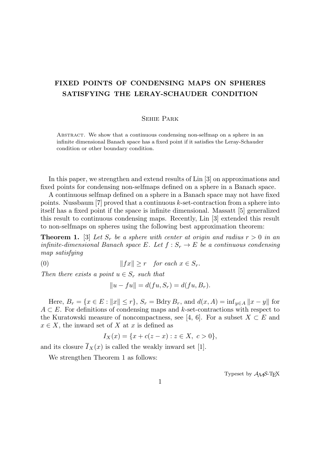## **FIXED POINTS OF CONDENSING MAPS ON SPHERES SATISFYING THE LERAY-SCHAUDER CONDITION**

## Sehie Park

Abstract. We show that a continuous condensing non-selfmap on a sphere in an infinite dimensional Banach space has a fixed point if it satisfies the Leray-Schauder condition or other boundary condition.

In this paper, we strengthen and extend results of Lin [3] on approximations and fixed points for condensing non-selfmaps defined on a sphere in a Banach space.

A continuous selfmap defined on a sphere in a Banach space may not have fixed points. Nussbaum [7] proved that a continuous *k*-set-contraction from a sphere into itself has a fixed point if the space is infinite dimensional. Massatt [5] generalized this result to continuous condensing maps. Recently, Lin [3] extended this result to non-selfmaps on spheres using the following best approximation theorem:

**Theorem 1.** [3] Let  $S_r$  be a sphere with center at origin and radius  $r > 0$  in an *infinite-dimensional Banach space E. Let*  $f : S_r \to E$  *be a continuous condensing map satisfying*

$$
(0) \t\t\t\t ||fx|| \geq r \tfor each x \in S_r.
$$

*Then there exists a point*  $u \in S_r$  *such that* 

$$
||u - fu|| = d(fu, S_r) = d(fu, B_r).
$$

Here,  $B_r = \{x \in E : ||x|| \le r\}$ ,  $S_r = Bdry B_r$ , and  $d(x, A) = \inf_{y \in A} ||x - y||$  for *A* ⊂ *E*. For definitions of condensing maps and *k*-set-contractions with respect to the Kuratowski measure of noncompactness, see [4, 6]. For a subset  $X \subset E$  and  $x \in X$ , the inward set of *X* at *x* is defined as

$$
I_X(x) = \{x + c(z - x) : z \in X, \ c > 0\},\
$$

and its closure  $\overline{I}_X(x)$  is called the weakly inward set [1].

We strengthen Theorem 1 as follows:

Typeset by  $\mathcal{A}_{\mathcal{M}}\mathcal{S}\text{-}\mathrm{Tr}X$ 

1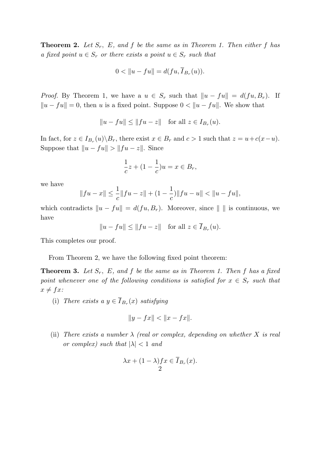**Theorem 2.** *Let Sr, E, and f be the same as in Theorem 1. Then either f has a* fixed point  $u \in S_r$  *or there exists a point*  $u \in S_r$  *such that* 

$$
0 < ||u - fu|| = d(fu, \overline{I}_{B_r}(u)).
$$

*Proof.* By Theorem 1, we have a  $u \in S_r$  such that  $||u - fu|| = d(fu, B_r)$ . If  $||u - fu|| = 0$ *,* then *u* is a fixed point. Suppose  $0 < ||u - fu||$ . We show that

$$
||u - fu|| \le ||fu - z|| \quad \text{for all } z \in I_{B_r}(u).
$$

In fact, for  $z \in I_{B_r}(u) \backslash B_r$ , there exist  $x \in B_r$  and  $c > 1$  such that  $z = u + c(x - u)$ . Suppose that  $||u - fu|| > ||fu - z||$ . Since

$$
\frac{1}{c}z + (1 - \frac{1}{c})u = x \in B_r,
$$

we have

$$
||fu - x|| \le \frac{1}{c}||fu - z|| + (1 - \frac{1}{c})||fu - u|| < ||u - fu||,
$$

which contradicts  $||u - fu|| = d(fu, B_r)$ . Moreover, since  $|| \cdot ||$  is continuous, we have

 $||u - fu|| \le ||fu - z||$  for all  $z \in I_{B_r}(u)$ *.* 

This completes our proof.

From Theorem 2, we have the following fixed point theorem:

**Theorem 3.** *Let Sr, E, and f be the same as in Theorem 1. Then f has a fixed point whenever one of the following conditions is satisfied for*  $x \in S_r$  *such that*  $x \neq fx$ 

(i) *There exists a*  $y \in I_{B_r}(x)$  *satisfying* 

$$
||y - fx|| < ||x - fx||.
$$

(ii) *There exists a number*  $\lambda$  *(real or complex, depending on whether*  $X$  *is real or complex) such that*  $|\lambda| < 1$  *and* 

$$
\lambda x + (1 - \lambda)fx \in \overline{I}_{B_r}(x).
$$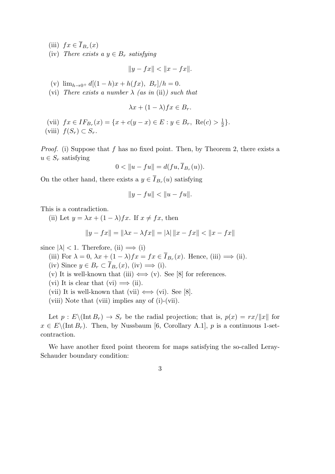(iii)  $fx \in I_{B_r}(x)$ 

(iv) *There exists a*  $y \in B_r$  *satisfying* 

$$
||y - fx|| < ||x - fx||.
$$

- (v)  $\lim_{h\to 0^+} d[(1-h)x + h(fx), B_r]/h = 0.$
- (vi) *There exists a number*  $\lambda$  *(as in (ii)) such that*

$$
\lambda x + (1 - \lambda)fx \in B_r.
$$

(vii)  $fx \in IF_{B_r}(x) = \{x + c(y - x) \in E : y \in B_r, \text{ Re}(c) > \frac{1}{2}\}$  $\frac{1}{2}$ .  $f(S_r) \subset S_r$ .

*Proof.* (i) Suppose that *f* has no fixed point. Then, by Theorem 2, there exists a  $u \in S_r$  satisfying

$$
0 < ||u - fu|| = d(fu, I_{B_r}(u)).
$$

On the other hand, there exists a  $y \in I_{B_r}(u)$  satisfying

$$
||y - fu|| < ||u - fu||.
$$

This is a contradiction.

(ii) Let  $y = \lambda x + (1 - \lambda) f x$ . If  $x \neq f x$ , then

$$
||y - fx|| = ||\lambda x - \lambda fx|| = |\lambda| ||x - fx|| < ||x - fx||
$$

since  $|\lambda|$  < 1. Therefore, (ii)  $\implies$  (i)

- (iii) For  $\lambda = 0$ ,  $\lambda x + (1 \lambda) f x = f x \in I_{B_r}(x)$ . Hence, (iii)  $\implies$  (ii).
- $(iv)$  Since  $y \in B_r \subset I_{B_r}(x)$ ,  $(iv) \implies (i)$ .
- (v) It is well-known that (iii)  $\iff$  (v). See [8] for references.
- (vi) It is clear that (vi)  $\implies$  (ii).
- (vii) It is well-known that (vii)  $\iff$  (vi). See [8].
- (viii) Note that (viii) implies any of (i)-(vii).

Let  $p: E\backslash (\text{Int } B_r) \to S_r$  be the radial projection; that is,  $p(x) = rx/||x||$  for  $x \in E\setminus (\text{Int } B_r)$ . Then, by Nussbaum [6, Corollary A.1], *p* is a continuous 1-setcontraction.

We have another fixed point theorem for maps satisfying the so-called Leray-Schauder boundary condition:

3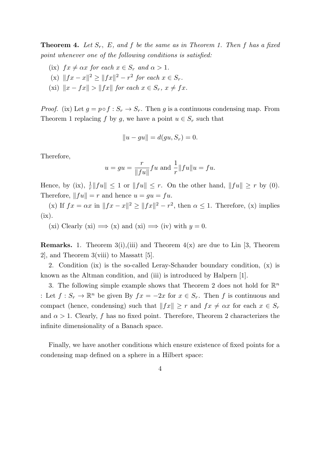**Theorem 4.** *Let Sr, E, and f be the same as in Theorem 1. Then f has a fixed point whenever one of the following conditions is satisfied:*

- (ix)  $fx \neq \alpha x$  *for each*  $x \in S_r$  *and*  $\alpha > 1$ *.*
- $||fx x||^2 \ge ||fx||^2 r^2$  *for each*  $x \in S_r$ .
- $(xi)$   $||x fx|| > ||fx||$  *for each*  $x \in S_r$ ,  $x \neq fx$ .

*Proof.* (ix) Let  $g = p \circ f : S_r \to S_r$ . Then g is a continuous condensing map. From Theorem 1 replacing *f* by *g*, we have a point  $u \in S_r$  such that

$$
||u - gu|| = d(gu, S_r) = 0.
$$

Therefore,

$$
u = gu = \frac{r}{\|fu\|} fu
$$
 and  $\frac{1}{r} \|fu\| u = fu$ .

Hence, by (ix),  $\frac{1}{r} ||fu|| \leq 1$  or  $||fu|| \leq r$ . On the other hand,  $||fu|| \geq r$  by (0). Therefore,  $||fu|| = r$  and hence  $u = gu = fu$ .

(x) If  $fx = \alpha x$  in  $||fx - x||^2 \ge ||fx||^2 - r^2$ , then  $\alpha \le 1$ . Therefore, (x) implies  $(ix).$ 

(xi) Clearly (xi)  $\implies$  (x) and (xi)  $\implies$  (iv) with  $y = 0$ .

**Remarks.** 1. Theorem  $3(i)$ , (iii) and Theorem  $4(x)$  are due to Lin [3, Theorem 2], and Theorem 3(viii) to Massatt [5].

2. Condition (ix) is the so-called Leray-Schauder boundary condition, (x) is known as the Altman condition, and (iii) is introduced by Halpern [1].

3. The following simple example shows that Theorem 2 does not hold for  $\mathbb{R}^n$ : Let  $f: S_r \to \mathbb{R}^n$  be given By  $fx = -2x$  for  $x \in S_r$ . Then *f* is continuous and compact (hence, condensing) such that  $||fx|| \geq r$  and  $fx \neq \alpha x$  for each  $x \in S_r$ and  $\alpha > 1$ . Clearly, f has no fixed point. Therefore, Theorem 2 characterizes the infinite dimensionality of a Banach space.

Finally, we have another conditions which ensure existence of fixed points for a condensing map defined on a sphere in a Hilbert space: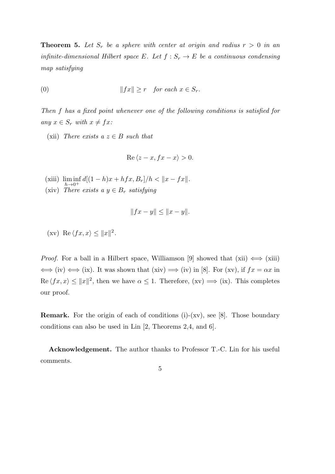**Theorem 5.** Let  $S_r$  be a sphere with center at origin and radius  $r > 0$  in an *infinite-dimensional Hilbert space*  $E$ *. Let*  $f : S_r \to E$  *be a continuous condensing map satisfying*

(0) 
$$
||fx|| \geq r \quad \text{for each } x \in S_r.
$$

*Then f has a fixed point whenever one of the following conditions is satisfied for*  $any \; x \in S_r \; with \; x \neq fx$ 

(xii) *There exists a*  $z \in B$  *such that* 

$$
\operatorname{Re}\left\langle z-x, fx-x\right\rangle > 0.
$$

- (xiii) lim inf  $h\rightarrow 0^+$  $d[(1-h)x + hfx, B_r]/h < ||x - fx||.$
- $(xiv)$  *There exists a*  $y \in B_r$  *satisfying*

$$
||fx - y|| \le ||x - y||.
$$

 $(\text{xv}) \ \text{Re} \langle fx, x \rangle \leq ||x||^2.$ 

*Proof.* For a ball in a Hilbert space, Williamson [9] showed that  $(xii) \iff (xiii)$  $\iff$  (iv)  $\iff$  (ix). It was shown that (xiv)  $\implies$  (iv) in [8]. For (xv), if  $fx = \alpha x$  in  $\text{Re } \langle fx, x \rangle \leq ||x||^2$ , then we have  $\alpha \leq 1$ . Therefore,  $(xv) \implies (ix)$ . This completes our proof.

**Remark.** For the origin of each of conditions (i)-(xv), see [8]. Those boundary conditions can also be used in Lin [2, Theorems 2,4, and 6].

**Acknowledgement.** The author thanks to Professor T.-C. Lin for his useful comments.